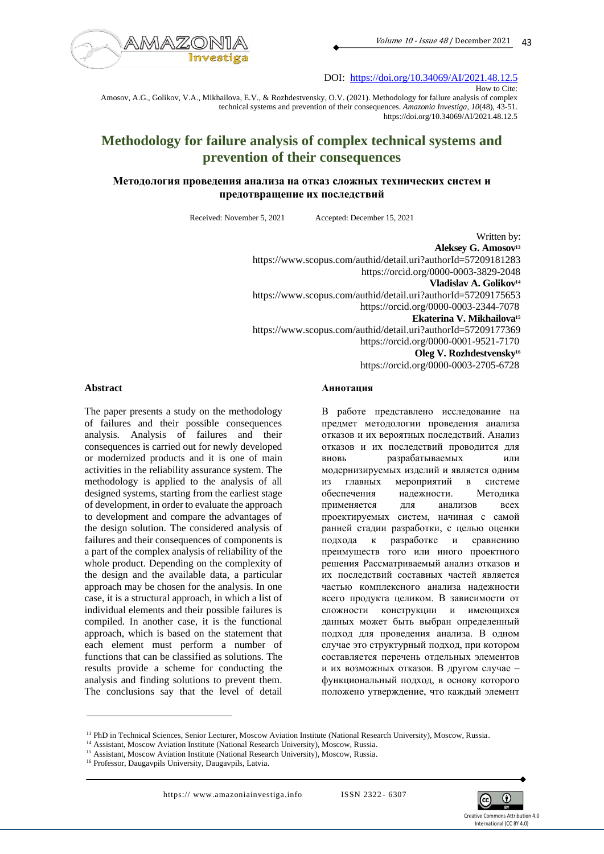

DOI: <https://doi.org/10.34069/AI/2021.48.12.5>

How to Cite:

Amosov, A.G., Golikov, V.A., Mikhailova, E.V., & Rozhdestvensky, O.V. (2021). Methodology for failure analysis of complex technical systems and prevention of their consequences. *Amazonia Investiga*, *10*(48), 43-51. https://doi.org/10.34069/AI/2021.48.12.5

# **Methodology for failure analysis of complex technical systems and prevention of their consequences**

## **Методология проведения анализа на отказ сложных технических систем и предотвращение их последствий**

Received: November 5, 2021 Accepted: December 15, 2021

Written by: **Aleksey G. Amosov<sup>13</sup>** https://www.scopus.com/authid/detail.uri?authorId=57209181283 https://orcid.org/0000-0003-3829-2048 **Vladislav A. Golikov<sup>14</sup>** https://www.scopus.com/authid/detail.uri?authorId=57209175653 https://orcid.org/0000-0003-2344-7078 **Ekaterina V. Mikhailova<sup>15</sup>** https://www.scopus.com/authid/detail.uri?authorId=57209177369 https://orcid.org/0000-0001-9521-7170 **Oleg V. Rozhdestvensky<sup>16</sup>** https://orcid.org/0000-0003-2705-6728

#### **Abstract**

The paper presents a study on the methodology of failures and their possible consequences analysis. Analysis of failures and their consequences is carried out for newly developed or modernized products and it is one of main activities in the reliability assurance system. The methodology is applied to the analysis of all designed systems, starting from the earliest stage of development, in order to evaluate the approach to development and compare the advantages of the design solution. The considered analysis of failures and their consequences of components is a part of the complex analysis of reliability of the whole product. Depending on the complexity of the design and the available data, a particular approach may be chosen for the analysis. In one case, it is a structural approach, in which a list of individual elements and their possible failures is compiled. In another case, it is the functional approach, which is based on the statement that each element must perform a number of functions that can be classified as solutions. The results provide a scheme for conducting the analysis and finding solutions to prevent them. The conclusions say that the level of detail

#### **Аннотация**

В работе представлено исследование на предмет методологии проведения анализа отказов и их вероятных последствий. Анализ отказов и их последствий проводится для вновь разрабатываемых или модернизируемых изделий и является одним из главных мероприятий в системе обеспечения надежности. Методика применяется для анализов всех проектируемых систем, начиная с самой ранней стадии разработки, с целью оценки подхода к разработке и сравнению преимуществ того или иного проектного решения Рассматриваемый анализ отказов и их последствий составных частей является частью комплексного анализа надежности всего продукта целиком. В зависимости от сложности конструкции и имеющихся данных может быть выбран определенный подход для проведения анализа. В одном случае это структурный подход, при котором составляется перечень отдельных элементов и их возможных отказов. В другом случае – функциональный подход, в основу которого положено утверждение, что каждый элемент



<sup>&</sup>lt;sup>13</sup> PhD in Technical Sciences, Senior Lecturer, Moscow Aviation Institute (National Research University), Moscow, Russia.

<sup>&</sup>lt;sup>14</sup> Assistant, Moscow Aviation Institute (National Research University), Moscow, Russia.

<sup>&</sup>lt;sup>15</sup> Assistant, Moscow Aviation Institute (National Research University), Moscow, Russia.

<sup>&</sup>lt;sup>16</sup> Professor, Daugavpils University, Daugavpils, Latvia.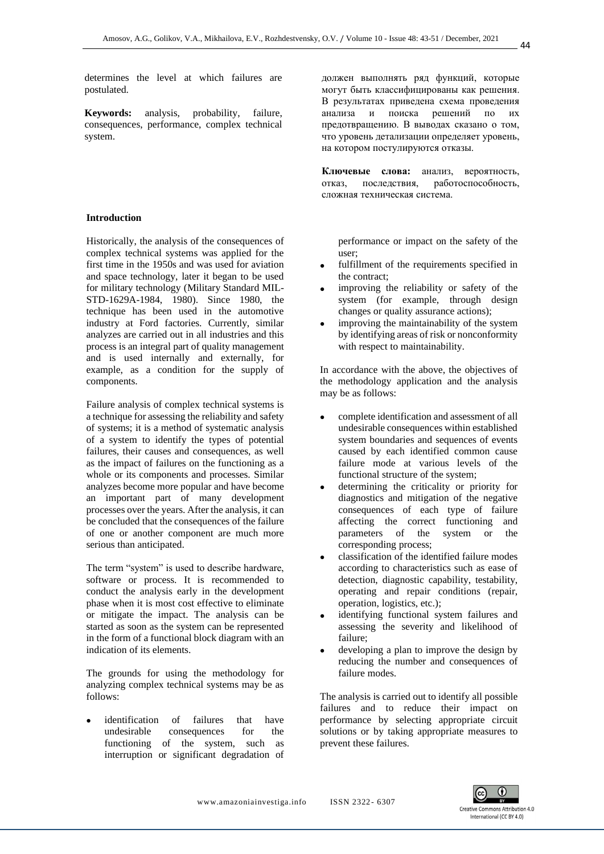determines the level at which failures are postulated.

**Keywords:** analysis, probability, failure, consequences, performance, complex technical system.

## **Introduction**

Historically, the analysis of the consequences of complex technical systems was applied for the first time in the 1950s and was used for aviation and space technology, later it began to be used for military technology (Military Standard MIL-STD-1629A-1984, 1980). Since 1980, the technique has been used in the automotive industry at Ford factories. Currently, similar analyzes are carried out in all industries and this process is an integral part of quality management and is used internally and externally, for example, as a condition for the supply of components.

Failure analysis of complex technical systems is a technique for assessing the reliability and safety of systems; it is a method of systematic analysis of a system to identify the types of potential failures, their causes and consequences, as well as the impact of failures on the functioning as a whole or its components and processes. Similar analyzes become more popular and have become an important part of many development processes over the years. After the analysis, it can be concluded that the consequences of the failure of one or another component are much more serious than anticipated.

The term "system" is used to describe hardware, software or process. It is recommended to conduct the analysis early in the development phase when it is most cost effective to eliminate or mitigate the impact. The analysis can be started as soon as the system can be represented in the form of a functional block diagram with an indication of its elements.

The grounds for using the methodology for analyzing complex technical systems may be as follows:

identification of failures that have undesirable consequences for the functioning of the system, such as interruption or significant degradation of должен выполнять ряд функций, которые могут быть классифицированы как решения. В результатах приведена схема проведения анализа и поиска решений по их предотвращению. В выводах сказано о том, что уровень детализации определяет уровень, на котором постулируются отказы.

**Ключевые слова:** анализ, вероятность, отказ, последствия, работоспособность, сложная техническая система.

performance or impact on the safety of the user;

- fulfillment of the requirements specified in the contract;
- improving the reliability or safety of the system (for example, through design changes or quality assurance actions);
- improving the maintainability of the system by identifying areas of risk or nonconformity with respect to maintainability.

In accordance with the above, the objectives of the methodology application and the analysis may be as follows:

- complete identification and assessment of all undesirable consequences within established system boundaries and sequences of events caused by each identified common cause failure mode at various levels of the functional structure of the system;
- determining the criticality or priority for diagnostics and mitigation of the negative consequences of each type of failure affecting the correct functioning and parameters of the system or the corresponding process;
- classification of the identified failure modes according to characteristics such as ease of detection, diagnostic capability, testability, operating and repair conditions (repair, operation, logistics, etc.);
- identifying functional system failures and assessing the severity and likelihood of failure;
- developing a plan to improve the design by reducing the number and consequences of failure modes.

The analysis is carried out to identify all possible failures and to reduce their impact on performance by selecting appropriate circuit solutions or by taking appropriate measures to prevent these failures.

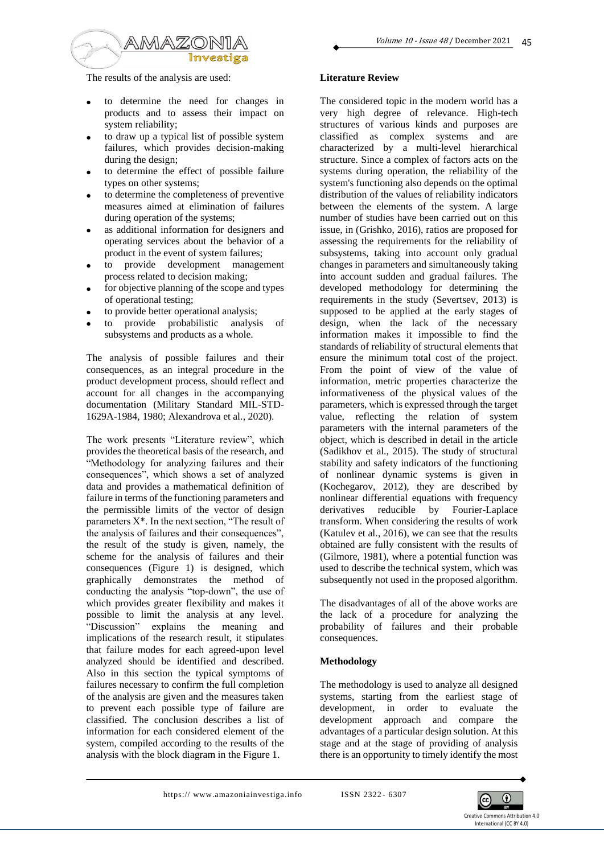

The results of the analysis are used:

- to determine the need for changes in products and to assess their impact on system reliability;
- to draw up a typical list of possible system failures, which provides decision-making during the design;
- to determine the effect of possible failure types on other systems;
- to determine the completeness of preventive measures aimed at elimination of failures during operation of the systems;
- as additional information for designers and operating services about the behavior of a product in the event of system failures;
- to provide development management process related to decision making;
- for objective planning of the scope and types of operational testing;
- to provide better operational analysis;
- to provide probabilistic analysis of subsystems and products as a whole.

The analysis of possible failures and their consequences, as an integral procedure in the product development process, should reflect and account for all changes in the accompanying documentation (Military Standard MIL-STD-1629A-1984, 1980; Alexandrova et al., 2020).

The work presents "Literature review", which provides the theoretical basis of the research, and "Methodology for analyzing failures and their consequences", which shows a set of analyzed data and provides a mathematical definition of failure in terms of the functioning parameters and the permissible limits of the vector of design parameters X\*. In the next section, "The result of the analysis of failures and their consequences", the result of the study is given, namely, the scheme for the analysis of failures and their consequences (Figure 1) is designed, which graphically demonstrates the method of conducting the analysis "top-down", the use of which provides greater flexibility and makes it possible to limit the analysis at any level. "Discussion" explains the meaning and implications of the research result, it stipulates that failure modes for each agreed-upon level analyzed should be identified and described. Also in this section the typical symptoms of failures necessary to confirm the full completion of the analysis are given and the measures taken to prevent each possible type of failure are classified. The conclusion describes a list of information for each considered element of the system, compiled according to the results of the analysis with the block diagram in the Figure 1.

## **Literature Review**

The considered topic in the modern world has a very high degree of relevance. High-tech structures of various kinds and purposes are classified as complex systems and are characterized by a multi-level hierarchical structure. Since a complex of factors acts on the systems during operation, the reliability of the system's functioning also depends on the optimal distribution of the values of reliability indicators between the elements of the system. A large number of studies have been carried out on this issue, in (Grishko, 2016), ratios are proposed for assessing the requirements for the reliability of subsystems, taking into account only gradual changes in parameters and simultaneously taking into account sudden and gradual failures. The developed methodology for determining the requirements in the study (Severtsev, 2013) is supposed to be applied at the early stages of design, when the lack of the necessary information makes it impossible to find the standards of reliability of structural elements that ensure the minimum total cost of the project. From the point of view of the value of information, metric properties characterize the informativeness of the physical values of the parameters, which is expressed through the target value, reflecting the relation of system parameters with the internal parameters of the object, which is described in detail in the article (Sadikhov et al., 2015). The study of structural stability and safety indicators of the functioning of nonlinear dynamic systems is given in (Kochegarov, 2012), they are described by nonlinear differential equations with frequency derivatives reducible by Fourier-Laplace transform. When considering the results of work (Katulev et al., 2016), we can see that the results obtained are fully consistent with the results of (Gilmore, 1981), where a potential function was used to describe the technical system, which was subsequently not used in the proposed algorithm.

The disadvantages of all of the above works are the lack of a procedure for analyzing the probability of failures and their probable consequences.

## **Methodology**

The methodology is used to analyze all designed systems, starting from the earliest stage of development, in order to evaluate the development approach and compare the advantages of a particular design solution. At this stage and at the stage of providing of analysis there is an opportunity to timely identify the most

https://www.amazoniainvestiga.info ISSN 2322-6307

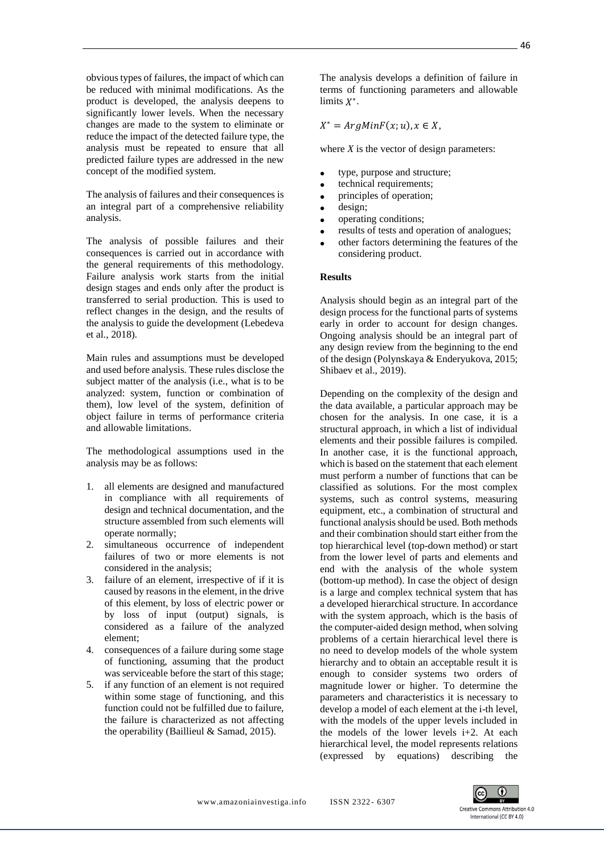obvious types of failures, the impact of which can be reduced with minimal modifications. As the product is developed, the analysis deepens to significantly lower levels. When the necessary changes are made to the system to eliminate or reduce the impact of the detected failure type, the analysis must be repeated to ensure that all predicted failure types are addressed in the new concept of the modified system.

The analysis of failures and their consequences is an integral part of a comprehensive reliability analysis.

The analysis of possible failures and their consequences is carried out in accordance with the general requirements of this methodology. Failure analysis work starts from the initial design stages and ends only after the product is transferred to serial production. This is used to reflect changes in the design, and the results of the analysis to guide the development (Lebedeva et al., 2018).

Main rules and assumptions must be developed and used before analysis. These rules disclose the subject matter of the analysis (i.e., what is to be analyzed: system, function or combination of them), low level of the system, definition of object failure in terms of performance criteria and allowable limitations.

The methodological assumptions used in the analysis may be as follows:

- 1. all elements are designed and manufactured in compliance with all requirements of design and technical documentation, and the structure assembled from such elements will operate normally;
- 2. simultaneous occurrence of independent failures of two or more elements is not considered in the analysis;
- 3. failure of an element, irrespective of if it is caused by reasons in the element, in the drive of this element, by loss of electric power or by loss of input (output) signals, is considered as a failure of the analyzed element;
- 4. consequences of a failure during some stage of functioning, assuming that the product was serviceable before the start of this stage;
- 5. if any function of an element is not required within some stage of functioning, and this function could not be fulfilled due to failure, the failure is characterized as not affecting the operability (Baillieul & Samad, 2015).

The analysis develops a definition of failure in terms of functioning parameters and allowable limits  $X^*$ .

 $X^* = ArgMinF(x; u), x \in X,$ 

where  $X$  is the vector of design parameters:

- type, purpose and structure;
- technical requirements;
- principles of operation;
- design:
- operating conditions;
- results of tests and operation of analogues;
- other factors determining the features of the considering product.

## **Results**

Analysis should begin as an integral part of the design process for the functional parts of systems early in order to account for design changes. Ongoing analysis should be an integral part of any design review from the beginning to the end of the design (Polynskaya & Enderyukova, 2015; Shibaev et al., 2019).

Depending on the complexity of the design and the data available, a particular approach may be chosen for the analysis. In one case, it is a structural approach, in which a list of individual elements and their possible failures is compiled. In another case, it is the functional approach, which is based on the statement that each element must perform a number of functions that can be classified as solutions. For the most complex systems, such as control systems, measuring equipment, etc., a combination of structural and functional analysis should be used. Both methods and their combination should start either from the top hierarchical level (top-down method) or start from the lower level of parts and elements and end with the analysis of the whole system (bottom-up method). In case the object of design is a large and complex technical system that has a developed hierarchical structure. In accordance with the system approach, which is the basis of the computer-aided design method, when solving problems of a certain hierarchical level there is no need to develop models of the whole system hierarchy and to obtain an acceptable result it is enough to consider systems two orders of magnitude lower or higher. To determine the parameters and characteristics it is necessary to develop a model of each element at the i-th level, with the models of the upper levels included in the models of the lower levels  $i+2$ . At each hierarchical level, the model represents relations (expressed by equations) describing the

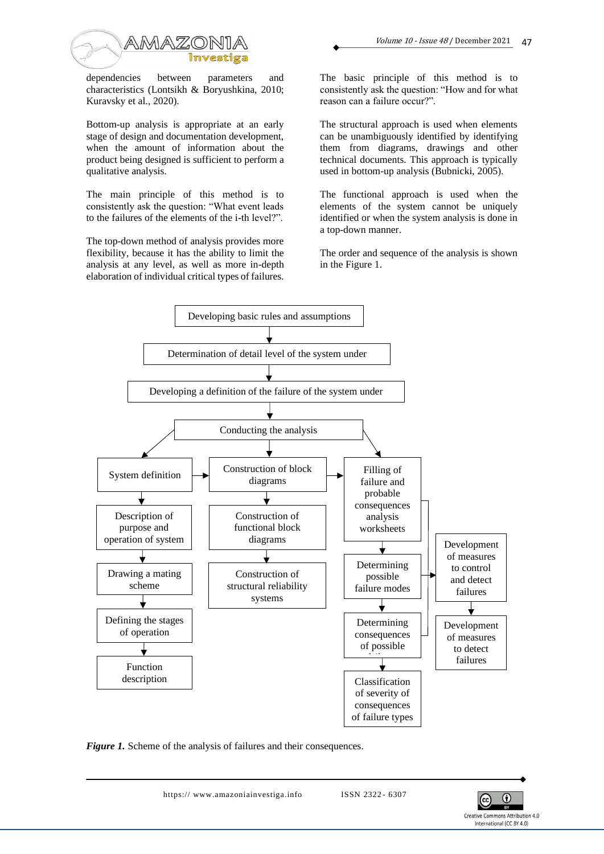

dependencies between parameters and characteristics (Lontsikh & Boryushkina, 2010; Kuravsky et al., 2020).

Bottom-up analysis is appropriate at an early stage of design and documentation development, when the amount of information about the product being designed is sufficient to perform a qualitative analysis.

The main principle of this method is to consistently ask the question: "What event leads to the failures of the elements of the i-th level?".

The top-down method of analysis provides more flexibility, because it has the ability to limit the analysis at any level, as well as more in-depth elaboration of individual critical types of failures.

The basic principle of this method is to consistently ask the question: "How and for what reason can a failure occur?".

Volume 10 - Issue <sup>48</sup> / December 2021

 $\overline{17}$ 

The structural approach is used when elements can be unambiguously identified by identifying them from diagrams, drawings and other technical documents. This approach is typically used in bottom-up analysis (Bubnicki, 2005).

The functional approach is used when the elements of the system cannot be uniquely identified or when the system analysis is done in a top-down manner.

The order and sequence of the analysis is shown in the Figure 1.



*Figure 1.* Scheme of the analysis of failures and their consequences.

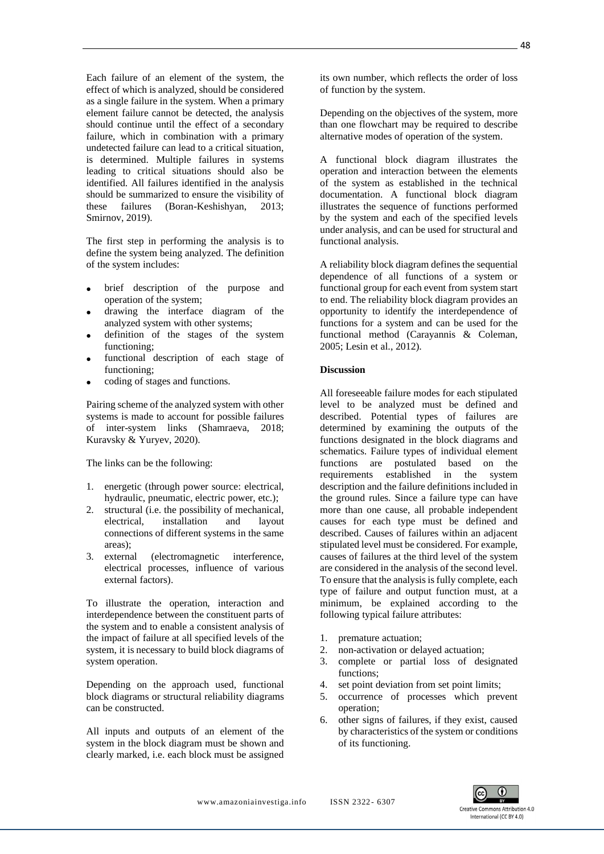Each failure of an element of the system, the effect of which is analyzed, should be considered as a single failure in the system. When a primary element failure cannot be detected, the analysis should continue until the effect of a secondary failure, which in combination with a primary undetected failure can lead to a critical situation, is determined. Multiple failures in systems leading to critical situations should also be identified. All failures identified in the analysis should be summarized to ensure the visibility of these failures (Boran-Keshishyan, 2013; Smirnov, 2019).

The first step in performing the analysis is to define the system being analyzed. The definition of the system includes:

- brief description of the purpose and operation of the system;
- drawing the interface diagram of the analyzed system with other systems;
- definition of the stages of the system functioning;
- functional description of each stage of functioning;
- coding of stages and functions.

Pairing scheme of the analyzed system with other systems is made to account for possible failures of inter-system links (Shamraeva, 2018; Kuravsky & Yuryev, 2020).

The links can be the following:

- 1. energetic (through power source: electrical, hydraulic, pneumatic, electric power, etc.);
- 2. structural (i.e. the possibility of mechanical, electrical, installation and layout connections of different systems in the same areas);
- 3. external (electromagnetic interference, electrical processes, influence of various external factors).

To illustrate the operation, interaction and interdependence between the constituent parts of the system and to enable a consistent analysis of the impact of failure at all specified levels of the system, it is necessary to build block diagrams of system operation.

Depending on the approach used, functional block diagrams or structural reliability diagrams can be constructed.

All inputs and outputs of an element of the system in the block diagram must be shown and clearly marked, i.e. each block must be assigned

its own number, which reflects the order of loss of function by the system.

Depending on the objectives of the system, more than one flowchart may be required to describe alternative modes of operation of the system.

A functional block diagram illustrates the operation and interaction between the elements of the system as established in the technical documentation. A functional block diagram illustrates the sequence of functions performed by the system and each of the specified levels under analysis, and can be used for structural and functional analysis.

A reliability block diagram defines the sequential dependence of all functions of a system or functional group for each event from system start to end. The reliability block diagram provides an opportunity to identify the interdependence of functions for a system and can be used for the functional method (Carayannis & Coleman, 2005; Lesin et al., 2012).

## **Discussion**

All foreseeable failure modes for each stipulated level to be analyzed must be defined and described. Potential types of failures are determined by examining the outputs of the functions designated in the block diagrams and schematics. Failure types of individual element functions are postulated based on the requirements established in the system description and the failure definitions included in the ground rules. Since a failure type can have more than one cause, all probable independent causes for each type must be defined and described. Causes of failures within an adjacent stipulated level must be considered. For example, causes of failures at the third level of the system are considered in the analysis of the second level. To ensure that the analysis is fully complete, each type of failure and output function must, at a minimum, be explained according to the following typical failure attributes:

- 1. premature actuation;
- 2. non-activation or delayed actuation;
- 3. complete or partial loss of designated functions;
- 4. set point deviation from set point limits;
- 5. occurrence of processes which prevent operation;
- 6. other signs of failures, if they exist, caused by characteristics of the system or conditions of its functioning.

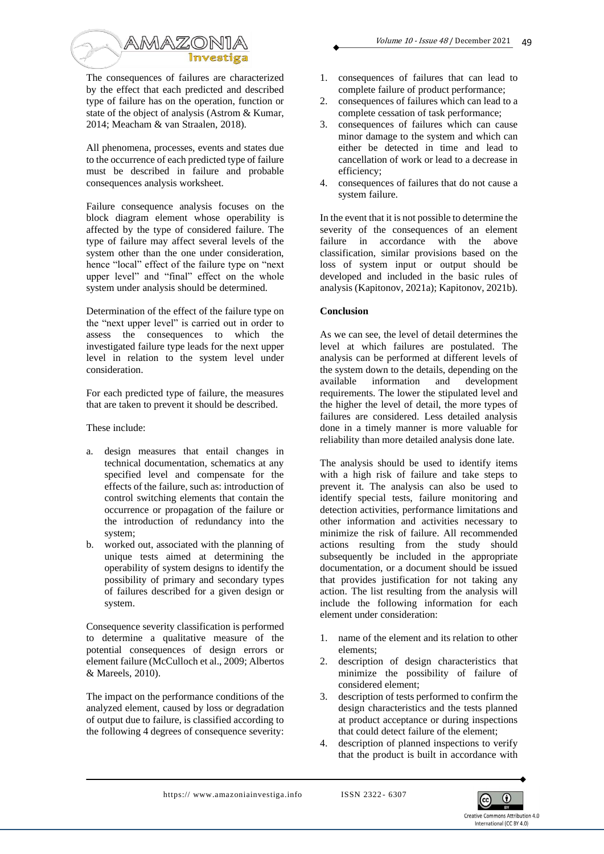

The consequences of failures are characterized by the effect that each predicted and described type of failure has on the operation, function or state of the object of analysis (Astrom & Kumar, 2014; Meacham & van Straalen, 2018).

All phenomena, processes, events and states due to the occurrence of each predicted type of failure must be described in failure and probable consequences analysis worksheet.

Failure consequence analysis focuses on the block diagram element whose operability is affected by the type of considered failure. The type of failure may affect several levels of the system other than the one under consideration, hence "local" effect of the failure type on "next upper level" and "final" effect on the whole system under analysis should be determined.

Determination of the effect of the failure type on the "next upper level" is carried out in order to assess the consequences to which the investigated failure type leads for the next upper level in relation to the system level under consideration.

For each predicted type of failure, the measures that are taken to prevent it should be described.

These include:

- a. design measures that entail changes in technical documentation, schematics at any specified level and compensate for the effects of the failure, such as: introduction of control switching elements that contain the occurrence or propagation of the failure or the introduction of redundancy into the system;
- b. worked out, associated with the planning of unique tests aimed at determining the operability of system designs to identify the possibility of primary and secondary types of failures described for a given design or system.

Consequence severity classification is performed to determine a qualitative measure of the potential consequences of design errors or element failure (McCulloch et al., 2009; Albertos & Mareels, 2010).

The impact on the performance conditions of the analyzed element, caused by loss or degradation of output due to failure, is classified according to the following 4 degrees of consequence severity:

- 1. consequences of failures that can lead to complete failure of product performance;
- 2. consequences of failures which can lead to a complete cessation of task performance;
- 3. consequences of failures which can cause minor damage to the system and which can either be detected in time and lead to cancellation of work or lead to a decrease in efficiency;
- 4. consequences of failures that do not cause a system failure.

In the event that it is not possible to determine the severity of the consequences of an element failure in accordance with the above classification, similar provisions based on the loss of system input or output should be developed and included in the basic rules of analysis (Kapitonov, 2021a); Kapitonov, 2021b).

## **Conclusion**

As we can see, the level of detail determines the level at which failures are postulated. The analysis can be performed at different levels of the system down to the details, depending on the available information and development requirements. The lower the stipulated level and the higher the level of detail, the more types of failures are considered. Less detailed analysis done in a timely manner is more valuable for reliability than more detailed analysis done late.

The analysis should be used to identify items with a high risk of failure and take steps to prevent it. The analysis can also be used to identify special tests, failure monitoring and detection activities, performance limitations and other information and activities necessary to minimize the risk of failure. All recommended actions resulting from the study should subsequently be included in the appropriate documentation, or a document should be issued that provides justification for not taking any action. The list resulting from the analysis will include the following information for each element under consideration:

- 1. name of the element and its relation to other elements;
- 2. description of design characteristics that minimize the possibility of failure of considered element;
- 3. description of tests performed to confirm the design characteristics and the tests planned at product acceptance or during inspections that could detect failure of the element;
- 4. description of planned inspections to verify that the product is built in accordance with

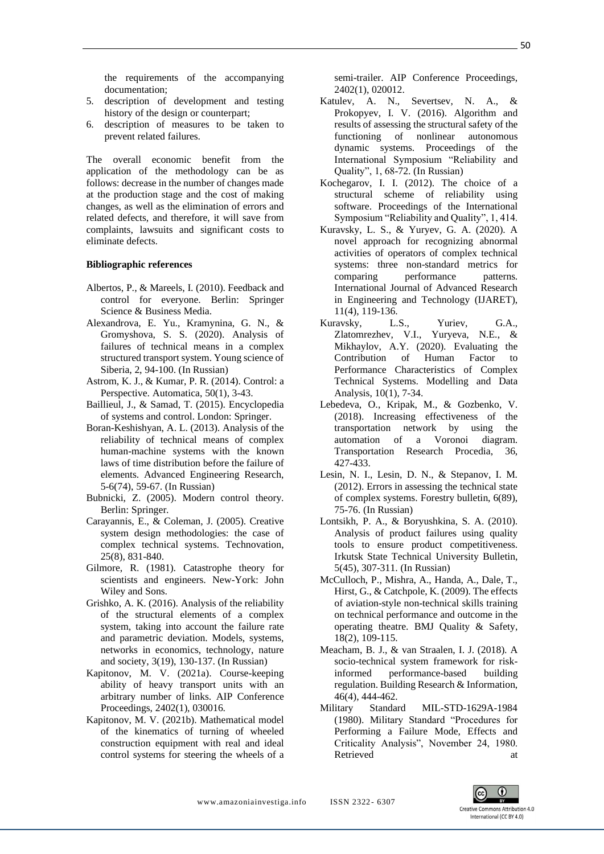the requirements of the accompanying documentation;

- 5. description of development and testing history of the design or counterpart;
- 6. description of measures to be taken to prevent related failures.

The overall economic benefit from the application of the methodology can be as follows: decrease in the number of changes made at the production stage and the cost of making changes, as well as the elimination of errors and related defects, and therefore, it will save from complaints, lawsuits and significant costs to eliminate defects.

#### **Bibliographic references**

- Albertos, P., & Mareels, I. (2010). Feedback and control for everyone. Berlin: Springer Science & Business Media.
- Alexandrova, E. Yu., Kramynina, G. N., & Gromyshova, S. S. (2020). Analysis of failures of technical means in a complex structured transport system. Young science of Siberia, 2, 94-100. (In Russian)
- Astrom, K. J., & Kumar, P. R. (2014). Control: a Perspective. Automatica, 50(1), 3-43.
- Baillieul, J., & Samad, T. (2015). Encyclopedia of systems and control. London: Springer.
- Boran-Keshishyan, A. L. (2013). Analysis of the reliability of technical means of complex human-machine systems with the known laws of time distribution before the failure of elements. Advanced Engineering Research, 5-6(74), 59-67. (In Russian)
- Bubnicki, Z. (2005). Modern control theory. Berlin: Springer.
- Carayannis, E., & Coleman, J. (2005). Creative system design methodologies: the case of complex technical systems. Technovation, 25(8), 831-840.
- Gilmore, R. (1981). Catastrophe theory for scientists and engineers. New-York: John Wiley and Sons.
- Grishko, A. K. (2016). Analysis of the reliability of the structural elements of a complex system, taking into account the failure rate and parametric deviation. Models, systems, networks in economics, technology, nature and society, 3(19), 130-137. (In Russian)
- Kapitonov, M. V. (2021a). Course-keeping ability of heavy transport units with an arbitrary number of links. AIP Conference Proceedings, 2402(1), 030016.
- Kapitonov, M. V. (2021b). Mathematical model of the kinematics of turning of wheeled construction equipment with real and ideal control systems for steering the wheels of a

semi-trailer. AIP Conference Proceedings, 2402(1), 020012.

- Katulev, A. N., Severtsev, N. A., & Prokopyev, I. V. (2016). Algorithm and results of assessing the structural safety of the functioning of nonlinear autonomous dynamic systems. Proceedings of the International Symposium "Reliability and Quality", 1, 68-72. (In Russian)
- Kochegarov, I. I. (2012). The choice of a structural scheme of reliability using software. Proceedings of the International Symposium "Reliability and Quality", 1, 414.
- Kuravsky, L. S., & Yuryev, G. A. (2020). A novel approach for recognizing abnormal activities of operators of complex technical systems: three non-standard metrics for comparing performance patterns. International Journal of Advanced Research in Engineering and Technology (IJARET), 11(4), 119-136.
- Kuravsky, L.S., Yuriev, G.A., Zlatomrezhev, V.I., Yuryeva, N.E., & Mikhaylov, A.Y. (2020). Evaluating the Contribution of Human Factor to Performance Characteristics of Complex Technical Systems. Modelling and Data Analysis, 10(1), 7-34.
- Lebedeva, O., Kripak, M., & Gozbenko, V. (2018). Increasing effectiveness of the transportation network by using the automation of a Voronoi diagram. Transportation Research Procedia, 36, 427-433.
- Lesin, N. I., Lesin, D. N., & Stepanov, I. M. (2012). Errors in assessing the technical state of complex systems. Forestry bulletin, 6(89), 75-76. (In Russian)
- Lontsikh, P. A., & Boryushkina, S. A. (2010). Analysis of product failures using quality tools to ensure product competitiveness. Irkutsk State Technical University Bulletin, 5(45), 307-311. (In Russian)
- McCulloch, P., Mishra, A., Handa, A., Dale, T., Hirst, G., & Catchpole, K. (2009). The effects of aviation-style non-technical skills training on technical performance and outcome in the operating theatre. BMJ Quality & Safety, 18(2), 109-115.
- Meacham, B. J., & van Straalen, I. J. (2018). A socio-technical system framework for riskinformed performance-based building regulation. Building Research & Information, 46(4), 444-462.
- Military Standard MIL-STD-1629A-1984 (1980). Military Standard "Procedures for Performing a Failure Mode, Effects and Criticality Analysis", November 24, 1980. Retrieved at a set of the set of the set of the set of the set of the set of the set of the set of the set of the set of the set of the set of the set of the set of the set of the set of the set of the set of the set of th